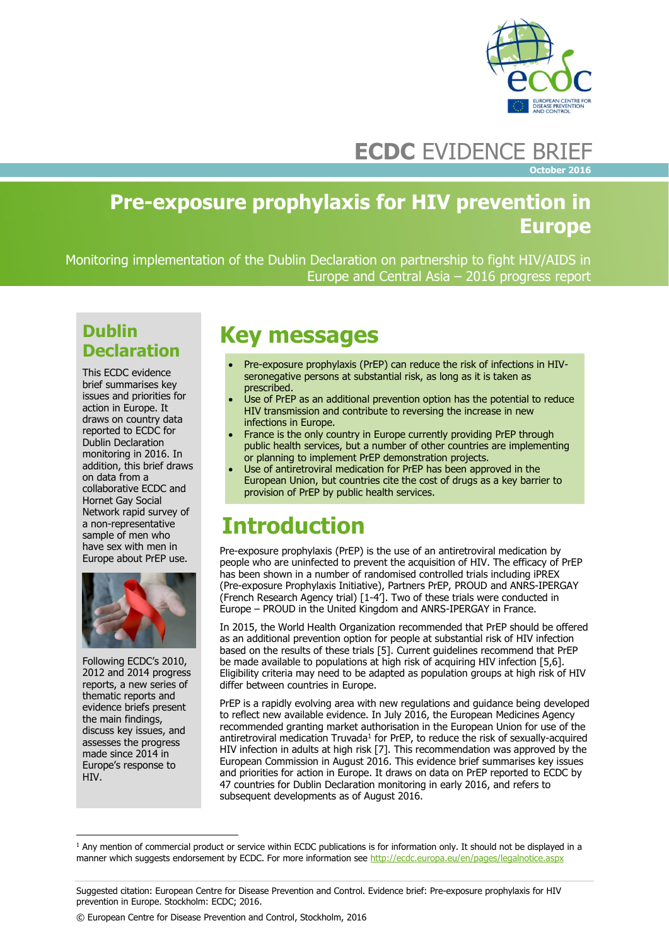

# **ECDC** EVIDENCE BRIEF

**October 2016**

## **Pre-exposure prophylaxis for HIV prevention in Europe**

Monitoring implementation of the Dublin Declaration on partnership to fight HIV/AIDS in Europe and Central Asia – 2016 progress report

## **Dublin Declaration**

This ECDC evidence brief summarises key issues and priorities for action in Europe. It draws on country data reported to ECDC for Dublin Declaration monitoring in 2016. In addition, this brief draws on data from a collaborative ECDC and Hornet Gay Social Network rapid survey of a non-representative sample of men who have sex with men in Europe about PrEP use.



Following ECDC's 2010, 2012 and 2014 progress reports, a new series of thematic reports and evidence briefs present the main findings, discuss key issues, and assesses the progress made since 2014 in Europe's response to HIV.

 $\overline{a}$ 

## **Key messages**

- Pre-exposure prophylaxis (PrEP) can reduce the risk of infections in HIVseronegative persons at substantial risk, as long as it is taken as prescribed.
- Use of PrEP as an additional prevention option has the potential to reduce HIV transmission and contribute to reversing the increase in new infections in Europe.
- France is the only country in Europe currently providing PrEP through public health services, but a number of other countries are implementing or planning to implement PrEP demonstration projects.
- Use of antiretroviral medication for PrEP has been approved in the European Union, but countries cite the cost of drugs as a key barrier to provision of PrEP by public health services.

# **Introduction**

Pre-exposure prophylaxis (PrEP) is the use of an antiretroviral medication by people who are uninfected to prevent the acquisition of HIV. The efficacy of PrEP has been shown in a number of randomised controlled trials including iPREX (Pre-exposure Prophylaxis Initiative), Partners PrEP, PROUD and ANRS-IPERGAY (French Research Agency trial) [1-4']. Two of these trials were conducted in Europe – PROUD in the United Kingdom and ANRS-IPERGAY in France.

In 2015, the World Health Organization recommended that PrEP should be offered as an additional prevention option for people at substantial risk of HIV infection based on the results of these trials [5]. Current guidelines recommend that PrEP be made available to populations at high risk of acquiring HIV infection [5,6]. Eligibility criteria may need to be adapted as population groups at high risk of HIV differ between countries in Europe.

PrEP is a rapidly evolving area with new regulations and guidance being developed to reflect new available evidence. In July 2016, the European Medicines Agency recommended granting market authorisation in the European Union for use of the antiretroviral medication Truvada<sup>1</sup> for PrEP, to reduce the risk of sexually-acquired HIV infection in adults at high risk [7]. This recommendation was approved by the European Commission in August 2016. This evidence brief summarises key issues and priorities for action in Europe. It draws on data on PrEP reported to ECDC by 47 countries for Dublin Declaration monitoring in early 2016, and refers to subsequent developments as of August 2016.

<sup>&</sup>lt;sup>1</sup> Any mention of commercial product or service within ECDC publications is for information only. It should not be displayed in a manner which suggests endorsement by ECDC. For more information se[e http://ecdc.europa.eu/en/pages/legalnotice.aspx](http://ecdc.europa.eu/en/pages/legalnotice.aspx)

Suggested citation: European Centre for Disease Prevention and Control. Evidence brief: Pre-exposure prophylaxis for HIV prevention in Europe. Stockholm: ECDC; 2016.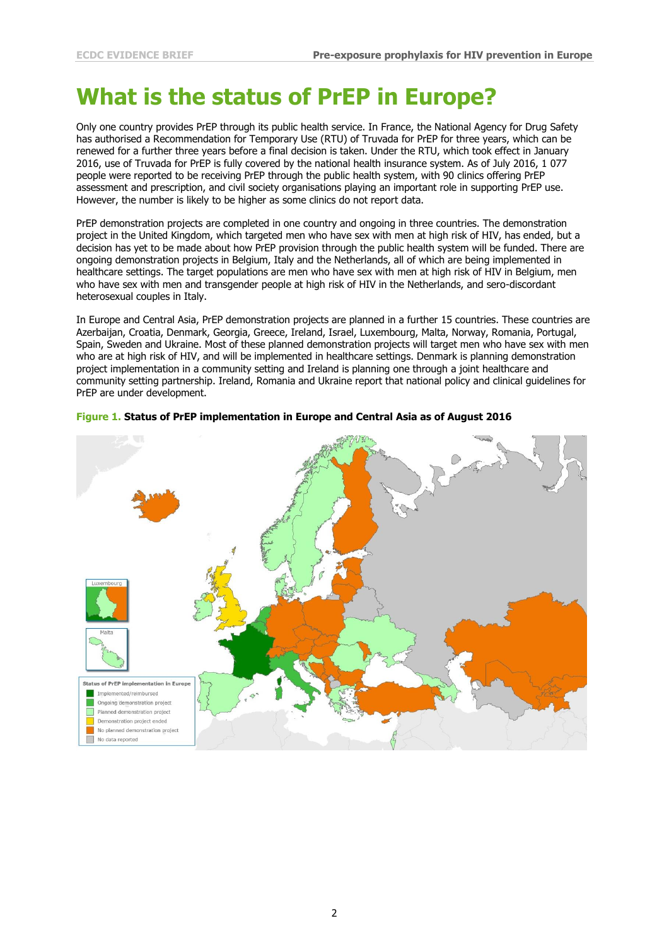# **What is the status of PrEP in Europe?**

Only one country provides PrEP through its public health service. In France, the National Agency for Drug Safety has authorised a Recommendation for Temporary Use (RTU) of Truvada for PrEP for three years, which can be renewed for a further three years before a final decision is taken. Under the RTU, which took effect in January 2016, use of Truvada for PrEP is fully covered by the national health insurance system. As of July 2016, 1 077 people were reported to be receiving PrEP through the public health system, with 90 clinics offering PrEP assessment and prescription, and civil society organisations playing an important role in supporting PrEP use. However, the number is likely to be higher as some clinics do not report data.

PrEP demonstration projects are completed in one country and ongoing in three countries. The demonstration project in the United Kingdom, which targeted men who have sex with men at high risk of HIV, has ended, but a decision has yet to be made about how PrEP provision through the public health system will be funded. There are ongoing demonstration projects in Belgium, Italy and the Netherlands, all of which are being implemented in healthcare settings. The target populations are men who have sex with men at high risk of HIV in Belgium, men who have sex with men and transgender people at high risk of HIV in the Netherlands, and sero-discordant heterosexual couples in Italy.

In Europe and Central Asia, PrEP demonstration projects are planned in a further 15 countries. These countries are Azerbaijan, Croatia, Denmark, Georgia, Greece, Ireland, Israel, Luxembourg, Malta, Norway, Romania, Portugal, Spain, Sweden and Ukraine. Most of these planned demonstration projects will target men who have sex with men who are at high risk of HIV, and will be implemented in healthcare settings. Denmark is planning demonstration project implementation in a community setting and Ireland is planning one through a joint healthcare and community setting partnership. Ireland, Romania and Ukraine report that national policy and clinical guidelines for PrEP are under development.



#### **Figure 1. Status of PrEP implementation in Europe and Central Asia as of August 2016**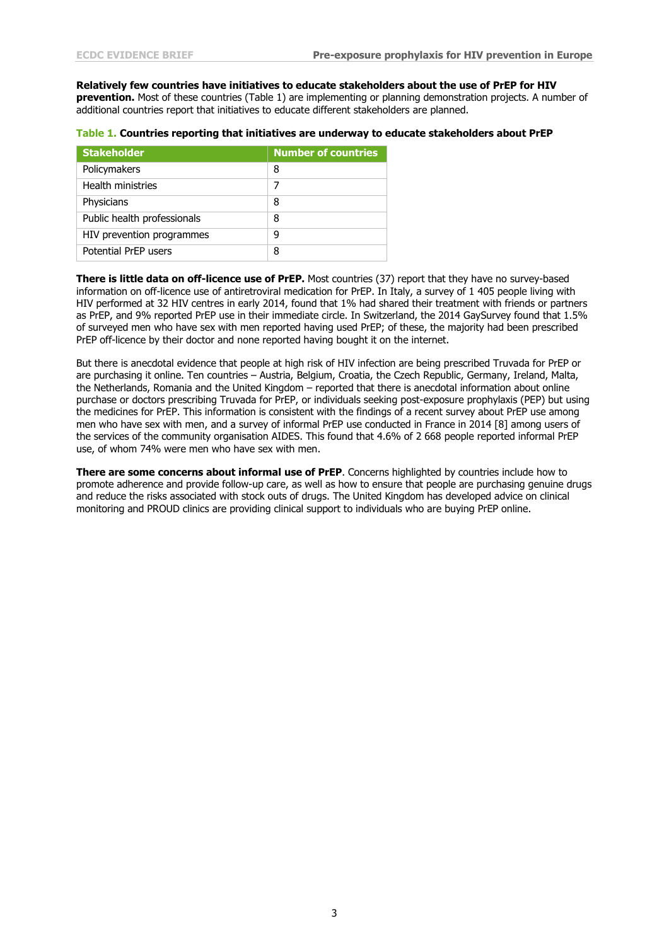**Relatively few countries have initiatives to educate stakeholders about the use of PrEP for HIV prevention.** Most of these countries (Table 1) are implementing or planning demonstration projects. A number of additional countries report that initiatives to educate different stakeholders are planned.

|  | Table 1. Countries reporting that initiatives are underway to educate stakeholders about PrEP |
|--|-----------------------------------------------------------------------------------------------|
|--|-----------------------------------------------------------------------------------------------|

| <b>Stakeholder</b>          | <b>Number of countries</b> |
|-----------------------------|----------------------------|
| Policymakers                | 8                          |
| <b>Health ministries</b>    |                            |
| Physicians                  | 8                          |
| Public health professionals | 8                          |
| HIV prevention programmes   | q                          |
| Potential PrFP users        | 8                          |

**There is little data on off-licence use of PrEP.** Most countries (37) report that they have no survey-based information on off-licence use of antiretroviral medication for PrEP. In Italy, a survey of 1 405 people living with HIV performed at 32 HIV centres in early 2014, found that 1% had shared their treatment with friends or partners as PrEP, and 9% reported PrEP use in their immediate circle. In Switzerland, the 2014 GaySurvey found that 1.5% of surveyed men who have sex with men reported having used PrEP; of these, the majority had been prescribed PrEP off-licence by their doctor and none reported having bought it on the internet.

But there is anecdotal evidence that people at high risk of HIV infection are being prescribed Truvada for PrEP or are purchasing it online. Ten countries – Austria, Belgium, Croatia, the Czech Republic, Germany, Ireland, Malta, the Netherlands, Romania and the United Kingdom – reported that there is anecdotal information about online purchase or doctors prescribing Truvada for PrEP, or individuals seeking post-exposure prophylaxis (PEP) but using the medicines for PrEP. This information is consistent with the findings of a recent survey about PrEP use among men who have sex with men, and a survey of informal PrEP use conducted in France in 2014 [8] among users of the services of the community organisation AIDES. This found that 4.6% of 2 668 people reported informal PrEP use, of whom 74% were men who have sex with men.

**There are some concerns about informal use of PrEP**. Concerns highlighted by countries include how to promote adherence and provide follow-up care, as well as how to ensure that people are purchasing genuine drugs and reduce the risks associated with stock outs of drugs. The United Kingdom has developed advice on clinical monitoring and PROUD clinics are providing clinical support to individuals who are buying PrEP online.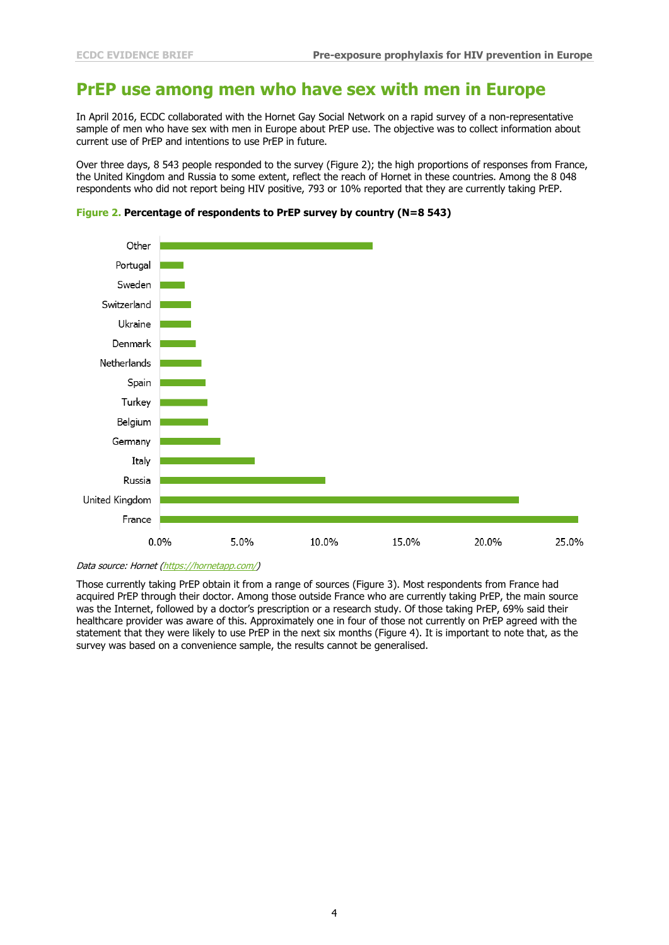### **PrEP use among men who have sex with men in Europe**

In April 2016, ECDC collaborated with the Hornet Gay Social Network on a rapid survey of a non-representative sample of men who have sex with men in Europe about PrEP use. The objective was to collect information about current use of PrEP and intentions to use PrEP in future.

Over three days, 8 543 people responded to the survey (Figure 2); the high proportions of responses from France, the United Kingdom and Russia to some extent, reflect the reach of Hornet in these countries. Among the 8 048 respondents who did not report being HIV positive, 793 or 10% reported that they are currently taking PrEP.





Data source: Hornet [\(https://hornetapp.com/\)](https://hornetapp.com/)

Those currently taking PrEP obtain it from a range of sources (Figure 3). Most respondents from France had acquired PrEP through their doctor. Among those outside France who are currently taking PrEP, the main source was the Internet, followed by a doctor's prescription or a research study. Of those taking PrEP, 69% said their healthcare provider was aware of this. Approximately one in four of those not currently on PrEP agreed with the statement that they were likely to use PrEP in the next six months (Figure 4). It is important to note that, as the survey was based on a convenience sample, the results cannot be generalised.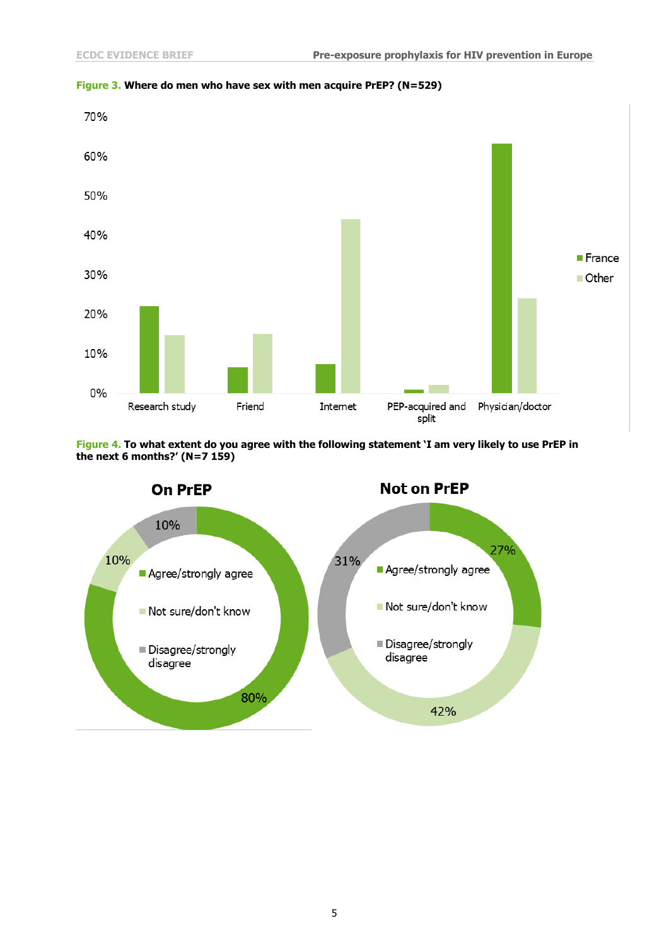

### **Figure 3. Where do men who have sex with men acquire PrEP? (N=529)**



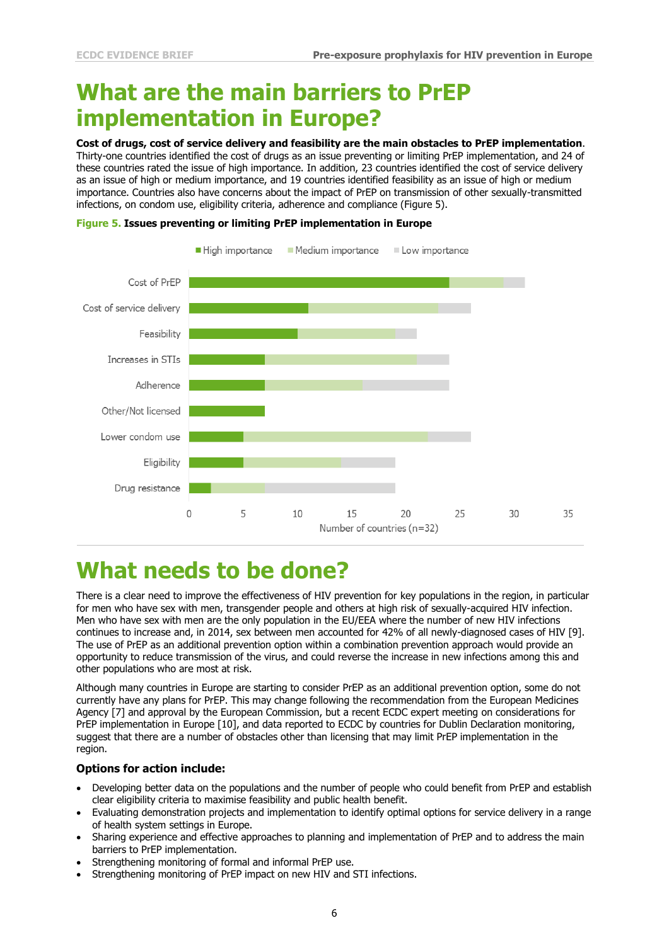# **What are the main barriers to PrEP implementation in Europe?**

**Cost of drugs, cost of service delivery and feasibility are the main obstacles to PrEP implementation**.

Thirty-one countries identified the cost of drugs as an issue preventing or limiting PrEP implementation, and 24 of these countries rated the issue of high importance. In addition, 23 countries identified the cost of service delivery as an issue of high or medium importance, and 19 countries identified feasibility as an issue of high or medium importance. Countries also have concerns about the impact of PrEP on transmission of other sexually-transmitted infections, on condom use, eligibility criteria, adherence and compliance (Figure 5).

#### **Figure 5. Issues preventing or limiting PrEP implementation in Europe**



# **What needs to be done?**

There is a clear need to improve the effectiveness of HIV prevention for key populations in the region, in particular for men who have sex with men, transgender people and others at high risk of sexually-acquired HIV infection. Men who have sex with men are the only population in the EU/EEA where the number of new HIV infections continues to increase and, in 2014, sex between men accounted for 42% of all newly-diagnosed cases of HIV [9]. The use of PrEP as an additional prevention option within a combination prevention approach would provide an opportunity to reduce transmission of the virus, and could reverse the increase in new infections among this and other populations who are most at risk.

Although many countries in Europe are starting to consider PrEP as an additional prevention option, some do not currently have any plans for PrEP. This may change following the recommendation from the European Medicines Agency [7] and approval by the European Commission, but a recent ECDC expert meeting on considerations for PrEP implementation in Europe [10], and data reported to ECDC by countries for Dublin Declaration monitoring, suggest that there are a number of obstacles other than licensing that may limit PrEP implementation in the region.

#### **Options for action include:**

- Developing better data on the populations and the number of people who could benefit from PrEP and establish clear eligibility criteria to maximise feasibility and public health benefit.
- Evaluating demonstration projects and implementation to identify optimal options for service delivery in a range of health system settings in Europe.
- Sharing experience and effective approaches to planning and implementation of PrEP and to address the main barriers to PrEP implementation.
- Strengthening monitoring of formal and informal PrEP use.
- Strengthening monitoring of PrEP impact on new HIV and STI infections.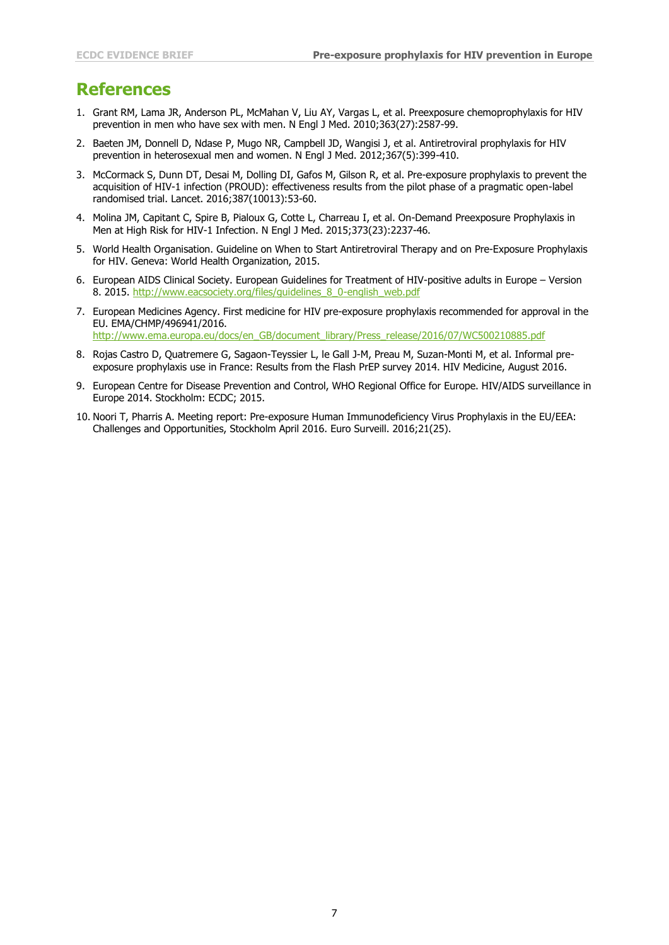### **References**

- 1. Grant RM, Lama JR, Anderson PL, McMahan V, Liu AY, Vargas L, et al. Preexposure chemoprophylaxis for HIV prevention in men who have sex with men. N Engl J Med. 2010;363(27):2587-99.
- 2. Baeten JM, Donnell D, Ndase P, Mugo NR, Campbell JD, Wangisi J, et al. Antiretroviral prophylaxis for HIV prevention in heterosexual men and women. N Engl J Med. 2012;367(5):399-410.
- 3. McCormack S, Dunn DT, Desai M, Dolling DI, Gafos M, Gilson R, et al. Pre-exposure prophylaxis to prevent the acquisition of HIV-1 infection (PROUD): effectiveness results from the pilot phase of a pragmatic open-label randomised trial. Lancet. 2016;387(10013):53-60.
- 4. Molina JM, Capitant C, Spire B, Pialoux G, Cotte L, Charreau I, et al. On-Demand Preexposure Prophylaxis in Men at High Risk for HIV-1 Infection. N Engl J Med. 2015;373(23):2237-46.
- 5. World Health Organisation. Guideline on When to Start Antiretroviral Therapy and on Pre-Exposure Prophylaxis for HIV. Geneva: World Health Organization, 2015.
- 6. European AIDS Clinical Society. European Guidelines for Treatment of HIV-positive adults in Europe Version 8. 2015. [http://www.eacsociety.org/files/guidelines\\_8\\_0-english\\_web.pdf](http://www.eacsociety.org/files/guidelines_8_0-english_web.pdf)
- 7. European Medicines Agency. First medicine for HIV pre-exposure prophylaxis recommended for approval in the EU. EMA/CHMP/496941/2016. [http://www.ema.europa.eu/docs/en\\_GB/document\\_library/Press\\_release/2016/07/WC500210885.pdf](http://www.ema.europa.eu/docs/en_GB/document_library/Press_release/2016/07/WC500210885.pdf)
- 8. Rojas Castro D, Quatremere G, Sagaon-Teyssier L, le Gall J-M, Preau M, Suzan-Monti M, et al. Informal preexposure prophylaxis use in France: Results from the Flash PrEP survey 2014. HIV Medicine, August 2016.
- 9. European Centre for Disease Prevention and Control, WHO Regional Office for Europe. HIV/AIDS surveillance in Europe 2014. Stockholm: ECDC; 2015.
- 10. Noori T, Pharris A. Meeting report: Pre-exposure Human Immunodeficiency Virus Prophylaxis in the EU/EEA: Challenges and Opportunities, Stockholm April 2016. Euro Surveill. 2016;21(25).